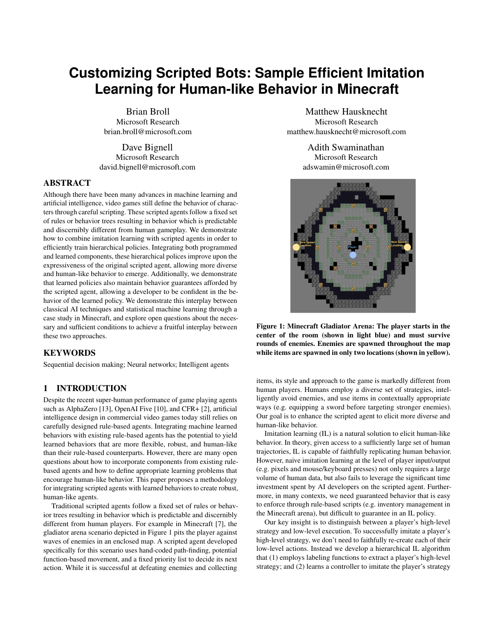# **Customizing Scripted Bots: Sample Efficient Imitation Learning for Human-like Behavior in Minecraft**

Brian Broll Microsoft Research brian.broll@microsoft.com

Dave Bignell Microsoft Research david.bignell@microsoft.com

#### ABSTRACT

Although there have been many advances in machine learning and artificial intelligence, video games still define the behavior of characters through careful scripting. These scripted agents follow a fixed set of rules or behavior trees resulting in behavior which is predictable and discernibly different from human gameplay. We demonstrate how to combine imitation learning with scripted agents in order to efficiently train hierarchical policies. Integrating both programmed and learned components, these hierarchical polices improve upon the expressiveness of the original scripted agent, allowing more diverse and human-like behavior to emerge. Additionally, we demonstrate that learned policies also maintain behavior guarantees afforded by the scripted agent, allowing a developer to be confident in the behavior of the learned policy. We demonstrate this interplay between classical AI techniques and statistical machine learning through a case study in Minecraft, and explore open questions about the necessary and sufficient conditions to achieve a fruitful interplay between these two approaches.

#### KEYWORDS

Sequential decision making; Neural networks; Intelligent agents

## 1 INTRODUCTION

Despite the recent super-human performance of game playing agents such as AlphaZero [\[13\]](#page-6-0), OpenAI Five [\[10\]](#page-6-1), and CFR+ [\[2\]](#page-6-2), artificial intelligence design in commercial video games today still relies on carefully designed rule-based agents. Integrating machine learned behaviors with existing rule-based agents has the potential to yield learned behaviors that are more flexible, robust, and human-like than their rule-based counterparts. However, there are many open questions about how to incorporate components from existing rulebased agents and how to define appropriate learning problems that encourage human-like behavior. This paper proposes a methodology for integrating scripted agents with learned behaviors to create robust, human-like agents.

Traditional scripted agents follow a fixed set of rules or behavior trees resulting in behavior which is predictable and discernibly different from human players. For example in Minecraft [\[7\]](#page-6-3), the gladiator arena scenario depicted in Figure [1](#page-0-0) pits the player against waves of enemies in an enclosed map. A scripted agent developed specifically for this scenario uses hand-coded path-finding, potential function-based movement, and a fixed priority list to decide its next action. While it is successful at defeating enemies and collecting

Matthew Hausknecht Microsoft Research matthew.hausknecht@microsoft.com

> Adith Swaminathan Microsoft Research adswamin@microsoft.com

<span id="page-0-0"></span>

Figure 1: Minecraft Gladiator Arena: The player starts in the center of the room (shown in light blue) and must survive rounds of enemies. Enemies are spawned throughout the map while items are spawned in only two locations (shown in yellow).

items, its style and approach to the game is markedly different from human players. Humans employ a diverse set of strategies, intelligently avoid enemies, and use items in contextually appropriate ways (e.g. equipping a sword before targeting stronger enemies). Our goal is to enhance the scripted agent to elicit more diverse and human-like behavior.

Imitation learning (IL) is a natural solution to elicit human-like behavior. In theory, given access to a sufficiently large set of human trajectories, IL is capable of faithfully replicating human behavior. However, naive imitation learning at the level of player input/output (e.g. pixels and mouse/keyboard presses) not only requires a large volume of human data, but also fails to leverage the significant time investment spent by AI developers on the scripted agent. Furthermore, in many contexts, we need guaranteed behavior that is easy to enforce through rule-based scripts (e.g. inventory management in the Minecraft arena), but difficult to guarantee in an IL policy.

Our key insight is to distinguish between a player's high-level strategy and low-level execution. To successfully imitate a player's high-level strategy, we don't need to faithfully re-create each of their low-level actions. Instead we develop a hierarchical IL algorithm that (1) employs labeling functions to extract a player's high-level strategy; and (2) learns a controller to imitate the player's strategy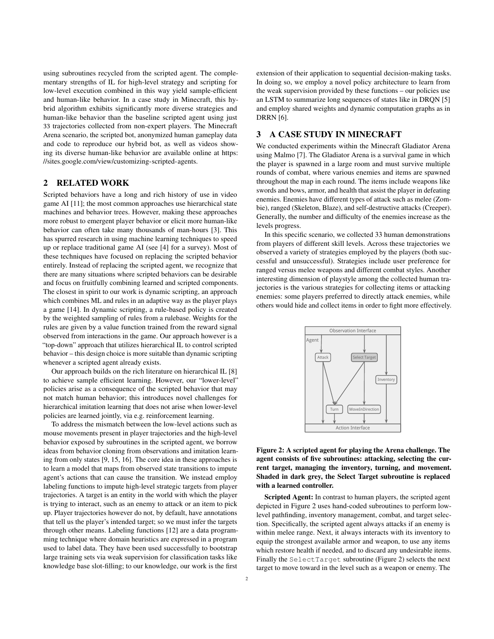using subroutines recycled from the scripted agent. The complementary strengths of IL for high-level strategy and scripting for low-level execution combined in this way yield sample-efficient and human-like behavior. In a case study in Minecraft, this hybrid algorithm exhibits significantly more diverse strategies and human-like behavior than the baseline scripted agent using just 33 trajectories collected from non-expert players. The Minecraft Arena scenario, the scripted bot, anonymized human gameplay data and code to reproduce our hybrid bot, as well as videos showing its diverse human-like behavior are available online at [https:](https://sites.google.com/view/customizing-scripted-agents) [//sites.google.com/view/customizing-scripted-agents.](https://sites.google.com/view/customizing-scripted-agents)

## 2 RELATED WORK

Scripted behaviors have a long and rich history of use in video game AI [\[11\]](#page-6-4); the most common approaches use hierarchical state machines and behavior trees. However, making these approaches more robust to emergent player behavior or elicit more human-like behavior can often take many thousands of man-hours [\[3\]](#page-6-5). This has spurred research in using machine learning techniques to speed up or replace traditional game AI (see [\[4\]](#page-6-6) for a survey). Most of these techniques have focused on replacing the scripted behavior entirely. Instead of replacing the scripted agent, we recognize that there are many situations where scripted behaviors can be desirable and focus on fruitfully combining learned and scripted components. The closest in spirit to our work is dynamic scripting, an approach which combines ML and rules in an adaptive way as the player plays a game [\[14\]](#page-6-7). In dynamic scripting, a rule-based policy is created by the weighted sampling of rules from a rulebase. Weights for the rules are given by a value function trained from the reward signal observed from interactions in the game. Our approach however is a "top-down" approach that utilizes hierarchical IL to control scripted behavior – this design choice is more suitable than dynamic scripting whenever a scripted agent already exists.

Our approach builds on the rich literature on hierarchical IL [\[8\]](#page-6-8) to achieve sample efficient learning. However, our "lower-level" policies arise as a consequence of the scripted behavior that may not match human behavior; this introduces novel challenges for hierarchical imitation learning that does not arise when lower-level policies are learned jointly, via e.g. reinforcement learning.

To address the mismatch between the low-level actions such as mouse movements present in player trajectories and the high-level behavior exposed by subroutines in the scripted agent, we borrow ideas from behavior cloning from observations and imitation learning from only states [\[9,](#page-6-9) [15,](#page-6-10) [16\]](#page-6-11). The core idea in these approaches is to learn a model that maps from observed state transitions to impute agent's actions that can cause the transition. We instead employ labeling functions to impute high-level strategic targets from player trajectories. A target is an entity in the world with which the player is trying to interact, such as an enemy to attack or an item to pick up. Player trajectories however do not, by default, have annotations that tell us the player's intended target; so we must infer the targets through other means. Labeling functions [\[12\]](#page-6-12) are a data programming technique where domain heuristics are expressed in a program used to label data. They have been used successfully to bootstrap large training sets via weak supervision for classification tasks like knowledge base slot-filling; to our knowledge, our work is the first

extension of their application to sequential decision-making tasks. In doing so, we employ a novel policy architecture to learn from the weak supervision provided by these functions – our policies use an LSTM to summarize long sequences of states like in DRQN [\[5\]](#page-6-13) and employ shared weights and dynamic computation graphs as in DRRN [\[6\]](#page-6-14).

## 3 A CASE STUDY IN MINECRAFT

We conducted experiments within the Minecraft Gladiator Arena using Malmo [\[7\]](#page-6-3). The Gladiator Arena is a survival game in which the player is spawned in a large room and must survive multiple rounds of combat, where various enemies and items are spawned throughout the map in each round. The items include weapons like swords and bows, armor, and health that assist the player in defeating enemies. Enemies have different types of attack such as melee (Zombie), ranged (Skeleton, Blaze), and self-destructive attacks (Creeper). Generally, the number and difficulty of the enemies increase as the levels progress.

In this specific scenario, we collected 33 human demonstrations from players of different skill levels. Across these trajectories we observed a variety of strategies employed by the players (both successful and unsuccessful). Strategies include user preference for ranged versus melee weapons and different combat styles. Another interesting dimension of playstyle among the collected human trajectories is the various strategies for collecting items or attacking enemies: some players preferred to directly attack enemies, while others would hide and collect items in order to fight more effectively.

<span id="page-1-0"></span>

Figure 2: A scripted agent for playing the Arena challenge. The agent consists of five subroutines: attacking, selecting the current target, managing the inventory, turning, and movement. Shaded in dark grey, the Select Target subroutine is replaced with a learned controller.

Scripted Agent: In contrast to human players, the scripted agent depicted in Figure [2](#page-1-0) uses hand-coded subroutines to perform lowlevel pathfinding, inventory management, combat, and target selection. Specifically, the scripted agent always attacks if an enemy is within melee range. Next, it always interacts with its inventory to equip the strongest available armor and weapon, to use any items which restore health if needed, and to discard any undesirable items. Finally the SelectTarget subroutine (Figure [2\)](#page-1-0) selects the next target to move toward in the level such as a weapon or enemy. The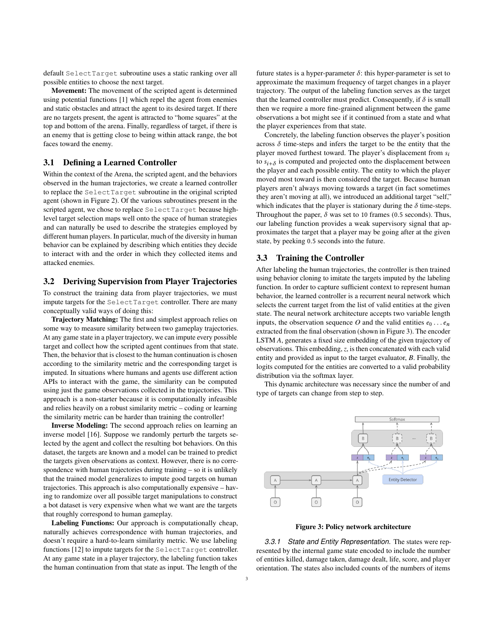default SelectTarget subroutine uses a static ranking over all possible entities to choose the next target.

Movement: The movement of the scripted agent is determined using potential functions [\[1\]](#page-6-15) which repel the agent from enemies and static obstacles and attract the agent to its desired target. If there are no targets present, the agent is attracted to "home squares" at the top and bottom of the arena. Finally, regardless of target, if there is an enemy that is getting close to being within attack range, the bot faces toward the enemy.

#### 3.1 Defining a Learned Controller

Within the context of the Arena, the scripted agent, and the behaviors observed in the human trajectories, we create a learned controller to replace the SelectTarget subroutine in the original scripted agent (shown in Figure [2\)](#page-1-0). Of the various subroutines present in the scripted agent, we chose to replace SelectTarget because highlevel target selection maps well onto the space of human strategies and can naturally be used to describe the strategies employed by different human players. In particular, much of the diversity in human behavior can be explained by describing which entities they decide to interact with and the order in which they collected items and attacked enemies.

# 3.2 Deriving Supervision from Player Trajectories

To construct the training data from player trajectories, we must impute targets for the SelectTarget controller. There are many conceptually valid ways of doing this:

Trajectory Matching: The first and simplest approach relies on some way to measure similarity between two gameplay trajectories. At any game state in a player trajectory, we can impute every possible target and collect how the scripted agent continues from that state. Then, the behavior that is closest to the human continuation is chosen according to the similarity metric and the corresponding target is imputed. In situations where humans and agents use different action APIs to interact with the game, the similarity can be computed using just the game observations collected in the trajectories. This approach is a non-starter because it is computationally infeasible and relies heavily on a robust similarity metric – coding or learning the similarity metric can be harder than training the controller!

Inverse Modeling: The second approach relies on learning an inverse model [\[16\]](#page-6-11). Suppose we randomly perturb the targets selected by the agent and collect the resulting bot behaviors. On this dataset, the targets are known and a model can be trained to predict the targets given observations as context. However, there is no correspondence with human trajectories during training – so it is unlikely that the trained model generalizes to impute good targets on human trajectories. This approach is also computationally expensive – having to randomize over all possible target manipulations to construct a bot dataset is very expensive when what we want are the targets that roughly correspond to human gameplay.

Labeling Functions: Our approach is computationally cheap, naturally achieves correspondence with human trajectories, and doesn't require a hard-to-learn similarity metric. We use labeling functions [\[12\]](#page-6-12) to impute targets for the SelectTarget controller. At any game state in a player trajectory, the labeling function takes the human continuation from that state as input. The length of the

future states is a hyper-parameter  $\delta$ : this hyper-parameter is set to approximate the maximum frequency of target changes in a player trajectory. The output of the labeling function serves as the target that the learned controller must predict. Consequently, if  $\delta$  is small then we require a more fine-grained alignment between the game observations a bot might see if it continued from a state and what the player experiences from that state.

Concretely, the labeling function observes the player's position across  $\delta$  time-steps and infers the target to be the entity that the player moved furthest toward. The player's displacement from  $s_i$ to  $s_{i+\delta}$  is computed and projected onto the displacement between<br>the player and each possible entity. The entity to which the player the player and each possible entity. The entity to which the player moved most toward is then considered the target. Because human players aren't always moving towards a target (in fact sometimes they aren't moving at all), we introduced an additional target "self," which indicates that the player is stationary during the  $\delta$  time-steps. Throughout the paper,  $\delta$  was set to 10 frames (0.5 seconds). Thus, our labeling function provides a weak supervisory signal that approximates the target that a player may be going after at the given state, by peeking <sup>0</sup>.<sup>5</sup> seconds into the future.

#### 3.3 Training the Controller

After labeling the human trajectories, the controller is then trained using behavior cloning to imitate the targets imputed by the labeling function. In order to capture sufficient context to represent human behavior, the learned controller is a recurrent neural network which selects the current target from the list of valid entities at the given state. The neural network architecture accepts two variable length inputs, the observation sequence *O* and the valid entities  $e_0 \ldots e_n$ extracted from the final observation (shown in Figure [3\)](#page-2-0). The encoder LSTM *A*, generates a fixed size embedding of the given trajectory of observations. This embedding, *z*, is then concatenated with each valid entity and provided as input to the target evaluator, *B*. Finally, the logits computed for the entities are converted to a valid probability distribution via the softmax layer.

This dynamic architecture was necessary since the number of and type of targets can change from step to step.

<span id="page-2-0"></span>



*3.3.1 State and Entity Representation.* The states were represented by the internal game state encoded to include the number of entities killed, damage taken, damage dealt, life, score, and player orientation. The states also included counts of the numbers of items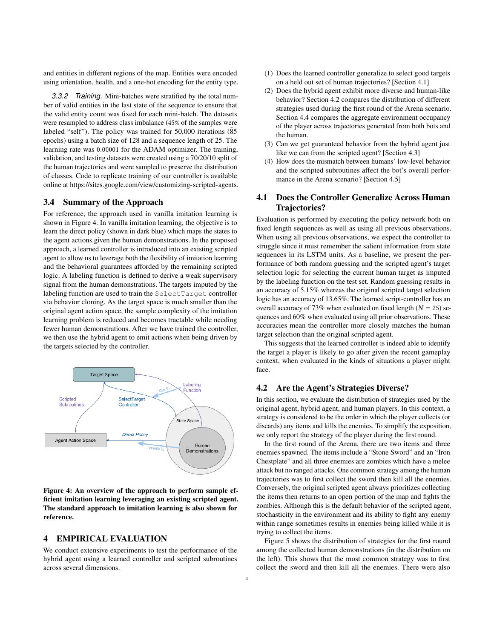and entities in different regions of the map. Entities were encoded using orientation, health, and a one-hot encoding for the entity type.

*3.3.2 Training.* Mini-batches were stratified by the total number of valid entities in the last state of the sequence to ensure that the valid entity count was fixed for each mini-batch. The datasets were resampled to address class imbalance  $(45\% \text{ of the samples were})$ labeled "self"). The policy was trained for  $50,000$  iterations ( $\tilde{8}5$ epochs) using a batch size of 128 and a sequence length of 25. The learning rate was <sup>0</sup>.<sup>00001</sup> for the ADAM optimizer. The training, validation, and testing datasets were created using a 70/20/10 split of the human trajectories and were sampled to preserve the distribution of classes. Code to replicate training of our controller is available online at [https://sites.google.com/view/customizing-scripted-agents.](https://sites.google.com/view/customizing-scripted-agents)

#### 3.4 Summary of the Approach

For reference, the approach used in vanilla imitation learning is shown in Figure [4.](#page-3-0) In vanilla imitation learning, the objective is to learn the direct policy (shown in dark blue) which maps the states to the agent actions given the human demonstrations. In the proposed approach, a learned controller is introduced into an existing scripted agent to allow us to leverage both the flexibility of imitation learning and the behavioral guarantees afforded by the remaining scripted logic. A labeling function is defined to derive a weak supervisory signal from the human demonstrations. The targets imputed by the labeling function are used to train the SelectTarget controller via behavior cloning. As the target space is much smaller than the original agent action space, the sample complexity of the imitation learning problem is reduced and becomes tractable while needing fewer human demonstrations. After we have trained the controller, we then use the hybrid agent to emit actions when being driven by the targets selected by the controller.

<span id="page-3-0"></span>

Figure 4: An overview of the approach to perform sample efficient imitation learning leveraging an existing scripted agent. The standard approach to imitation learning is also shown for reference.

#### 4 EMPIRICAL EVALUATION

We conduct extensive experiments to test the performance of the hybrid agent using a learned controller and scripted subroutines across several dimensions.

- (1) Does the learned controller generalize to select good targets on a held out set of human trajectories? [Section [4.1\]](#page-3-1)
- (2) Does the hybrid agent exhibit more diverse and human-like behavior? Section [4.2](#page-3-2) compares the distribution of different strategies used during the first round of the Arena scenario. Section [4.4](#page-4-0) compares the aggregate environment occupancy of the player across trajectories generated from both bots and the human.
- (3) Can we get guaranteed behavior from the hybrid agent just like we can from the scripted agent? [Section [4.3\]](#page-4-1)
- How does the mismatch between humans' low-level behavior and the scripted subroutines affect the bot's overall performance in the Arena scenario? [Section [4.5\]](#page-5-0)

# <span id="page-3-1"></span>4.1 Does the Controller Generalize Across Human Trajectories?

Evaluation is performed by executing the policy network both on fixed length sequences as well as using all previous observations. When using all previous observations, we expect the controller to struggle since it must remember the salient information from state sequences in its LSTM units. As a baseline, we present the performance of both random guessing and the scripted agent's target selection logic for selecting the current human target as imputed by the labeling function on the test set. Random guessing results in an accuracy of 5.15% whereas the original scripted target selection logic has an accuracy of 13.65%. The learned script-controller has an overall accuracy of 73% when evaluated on fixed length ( $N = 25$ ) sequences and 60% when evaluated using all prior observations. These accuracies mean the controller more closely matches the human target selection than the original scripted agent.

This suggests that the learned controller is indeed able to identify the target a player is likely to go after given the recent gameplay context, when evaluated in the kinds of situations a player might face.

#### <span id="page-3-2"></span>4.2 Are the Agent's Strategies Diverse?

In this section, we evaluate the distribution of strategies used by the original agent, hybrid agent, and human players. In this context, a strategy is considered to be the order in which the player collects (or discards) any items and kills the enemies. To simplify the exposition, we only report the strategy of the player during the first round.

In the first round of the Arena, there are two items and three enemies spawned. The items include a "Stone Sword" and an "Iron Chestplate" and all three enemies are zombies which have a melee attack but no ranged attacks. One common strategy among the human trajectories was to first collect the sword then kill all the enemies. Conversely, the original scripted agent always prioritizes collecting the items then returns to an open portion of the map and fights the zombies. Although this is the default behavior of the scripted agent, stochasticity in the environment and its ability to fight any enemy within range sometimes results in enemies being killed while it is trying to collect the items.

Figure [5](#page-4-2) shows the distribution of strategies for the first round among the collected human demonstrations (in the distribution on the left). This shows that the most common strategy was to first collect the sword and then kill all the enemies. There were also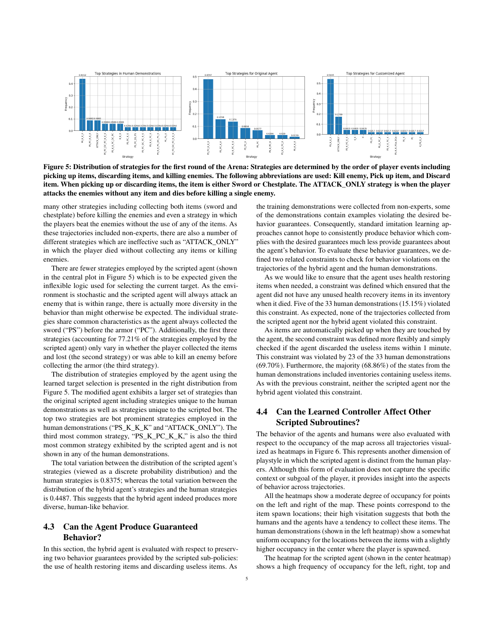<span id="page-4-2"></span>

Figure 5: Distribution of strategies for the first round of the Arena: Strategies are determined by the order of player events including picking up items, discarding items, and killing enemies. The following abbreviations are used: Kill enemy, Pick up item, and Discard item. When picking up or discarding items, the item is either Sword or Chestplate. The ATTACK\_ONLY strategy is when the player attacks the enemies without any item and dies before killing a single enemy.

many other strategies including collecting both items (sword and chestplate) before killing the enemies and even a strategy in which the players beat the enemies without the use of any of the items. As these trajectories included non-experts, there are also a number of different strategies which are ineffective such as "ATTACK\_ONLY" in which the player died without collecting any items or killing enemies.

There are fewer strategies employed by the scripted agent (shown in the central plot in Figure [5\)](#page-4-2) which is to be expected given the inflexible logic used for selecting the current target. As the environment is stochastic and the scripted agent will always attack an enemy that is within range, there is actually more diversity in the behavior than might otherwise be expected. The individual strategies share common characteristics as the agent always collected the sword ("PS") before the armor ("PC"). Additionally, the first three strategies (accounting for 77.21% of the strategies employed by the scripted agent) only vary in whether the player collected the items and lost (the second strategy) or was able to kill an enemy before collecting the armor (the third strategy).

The distribution of strategies employed by the agent using the learned target selection is presented in the right distribution from Figure [5.](#page-4-2) The modified agent exhibits a larger set of strategies than the original scripted agent including strategies unique to the human demonstrations as well as strategies unique to the scripted bot. The top two strategies are bot prominent strategies employed in the human demonstrations ("PS\_K\_K\_K" and "ATTACK\_ONLY"). The third most common strategy, "PS\_K\_PC\_K\_K," is also the third most common strategy exhibited by the scripted agent and is not shown in any of the human demonstrations.

The total variation between the distribution of the scripted agent's strategies (viewed as a discrete probability distribution) and the human strategies is 0.8375; whereas the total variation between the distribution of the hybrid agent's strategies and the human strategies is 0.4487. This suggests that the hybrid agent indeed produces more diverse, human-like behavior.

# <span id="page-4-1"></span>4.3 Can the Agent Produce Guaranteed Behavior?

In this section, the hybrid agent is evaluated with respect to preserving two behavior guarantees provided by the scripted sub-policies: the use of health restoring items and discarding useless items. As

the training demonstrations were collected from non-experts, some of the demonstrations contain examples violating the desired behavior guarantees. Consequently, standard imitation learning approaches cannot hope to consistently produce behavior which complies with the desired guarantees much less provide guarantees about the agent's behavior. To evaluate these behavior guarantees, we defined two related constraints to check for behavior violations on the trajectories of the hybrid agent and the human demonstrations.

As we would like to ensure that the agent uses health restoring items when needed, a constraint was defined which ensured that the agent did not have any unused health recovery items in its inventory when it died. Five of the 33 human demonstrations (15.15%) violated this constraint. As expected, none of the trajectories collected from the scripted agent nor the hybrid agent violated this constraint.

As items are automatically picked up when they are touched by the agent, the second constraint was defined more flexibly and simply checked if the agent discarded the useless items within 1 minute. This constraint was violated by 23 of the 33 human demonstrations (69.70%). Furthermore, the majority (68.86%) of the states from the human demonstrations included inventories containing useless items. As with the previous constraint, neither the scripted agent nor the hybrid agent violated this constraint.

# <span id="page-4-0"></span>4.4 Can the Learned Controller Affect Other Scripted Subroutines?

The behavior of the agents and humans were also evaluated with respect to the occupancy of the map across all trajectories visualized as heatmaps in Figure [6.](#page-5-1) This represents another dimension of playstyle in which the scripted agent is distinct from the human players. Although this form of evaluation does not capture the specific context or subgoal of the player, it provides insight into the aspects of behavior across trajectories.

All the heatmaps show a moderate degree of occupancy for points on the left and right of the map. These points correspond to the item spawn locations; their high visitation suggests that both the humans and the agents have a tendency to collect these items. The human demonstrations (shown in the left heatmap) show a somewhat uniform occupancy for the locations between the items with a slightly higher occupancy in the center where the player is spawned.

The heatmap for the scripted agent (shown in the center heatmap) shows a high frequency of occupancy for the left, right, top and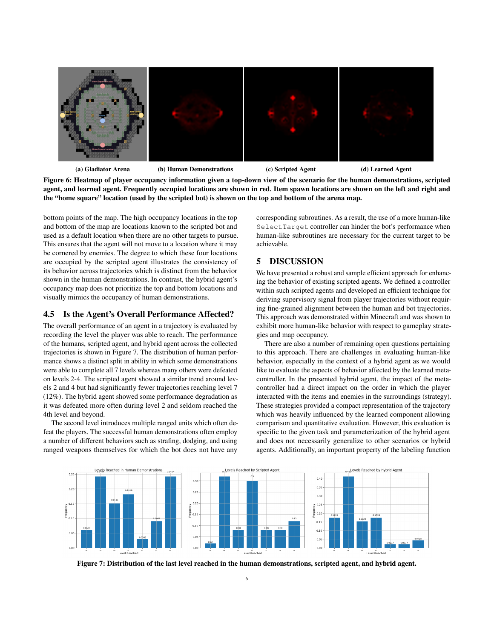<span id="page-5-1"></span>

(a) Gladiator Arena (b) Human Demonstrations (c) Scripted Agent (d) Learned Agent

Figure 6: Heatmap of player occupancy information given a top-down view of the scenario for the human demonstrations, scripted agent, and learned agent. Frequently occupied locations are shown in red. Item spawn locations are shown on the left and right and the "home square" location (used by the scripted bot) is shown on the top and bottom of the arena map.

bottom points of the map. The high occupancy locations in the top and bottom of the map are locations known to the scripted bot and used as a default location when there are no other targets to pursue. This ensures that the agent will not move to a location where it may be cornered by enemies. The degree to which these four locations are occupied by the scripted agent illustrates the consistency of its behavior across trajectories which is distinct from the behavior shown in the human demonstrations. In contrast, the hybrid agent's occupancy map does not prioritize the top and bottom locations and visually mimics the occupancy of human demonstrations.

# <span id="page-5-0"></span>4.5 Is the Agent's Overall Performance Affected?

The overall performance of an agent in a trajectory is evaluated by recording the level the player was able to reach. The performance of the humans, scripted agent, and hybrid agent across the collected trajectories is shown in Figure [7.](#page-5-2) The distribution of human performance shows a distinct split in ability in which some demonstrations were able to complete all 7 levels whereas many others were defeated on levels 2-4. The scripted agent showed a similar trend around levels 2 and 4 but had significantly fewer trajectories reaching level 7 (12%). The hybrid agent showed some performance degradation as it was defeated more often during level 2 and seldom reached the 4th level and beyond.

The second level introduces multiple ranged units which often defeat the players. The successful human demonstrations often employ a number of different behaviors such as strafing, dodging, and using ranged weapons themselves for which the bot does not have any

corresponding subroutines. As a result, the use of a more human-like SelectTarget controller can hinder the bot's performance when human-like subroutines are necessary for the current target to be achievable.

# 5 DISCUSSION

We have presented a robust and sample efficient approach for enhancing the behavior of existing scripted agents. We defined a controller within such scripted agents and developed an efficient technique for deriving supervisory signal from player trajectories without requiring fine-grained alignment between the human and bot trajectories. This approach was demonstrated within Minecraft and was shown to exhibit more human-like behavior with respect to gameplay strategies and map occupancy.

There are also a number of remaining open questions pertaining to this approach. There are challenges in evaluating human-like behavior, especially in the context of a hybrid agent as we would like to evaluate the aspects of behavior affected by the learned metacontroller. In the presented hybrid agent, the impact of the metacontroller had a direct impact on the order in which the player interacted with the items and enemies in the surroundings (strategy). These strategies provided a compact representation of the trajectory which was heavily influenced by the learned component allowing comparison and quantitative evaluation. However, this evaluation is specific to the given task and parameterization of the hybrid agent and does not necessarily generalize to other scenarios or hybrid agents. Additionally, an important property of the labeling function

<span id="page-5-2"></span>

Figure 7: Distribution of the last level reached in the human demonstrations, scripted agent, and hybrid agent.